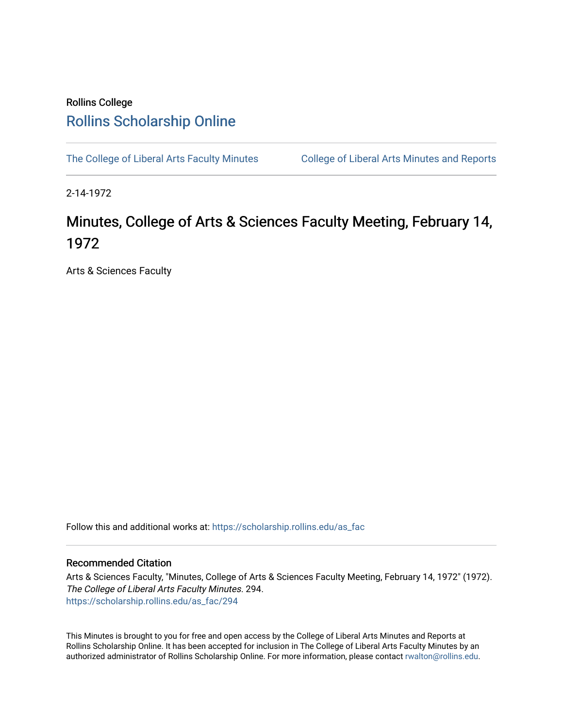## Rollins College [Rollins Scholarship Online](https://scholarship.rollins.edu/)

[The College of Liberal Arts Faculty Minutes](https://scholarship.rollins.edu/as_fac) College of Liberal Arts Minutes and Reports

2-14-1972

# Minutes, College of Arts & Sciences Faculty Meeting, February 14, 1972

Arts & Sciences Faculty

Follow this and additional works at: [https://scholarship.rollins.edu/as\\_fac](https://scholarship.rollins.edu/as_fac?utm_source=scholarship.rollins.edu%2Fas_fac%2F294&utm_medium=PDF&utm_campaign=PDFCoverPages) 

### Recommended Citation

Arts & Sciences Faculty, "Minutes, College of Arts & Sciences Faculty Meeting, February 14, 1972" (1972). The College of Liberal Arts Faculty Minutes. 294. [https://scholarship.rollins.edu/as\\_fac/294](https://scholarship.rollins.edu/as_fac/294?utm_source=scholarship.rollins.edu%2Fas_fac%2F294&utm_medium=PDF&utm_campaign=PDFCoverPages) 

This Minutes is brought to you for free and open access by the College of Liberal Arts Minutes and Reports at Rollins Scholarship Online. It has been accepted for inclusion in The College of Liberal Arts Faculty Minutes by an authorized administrator of Rollins Scholarship Online. For more information, please contact [rwalton@rollins.edu](mailto:rwalton@rollins.edu).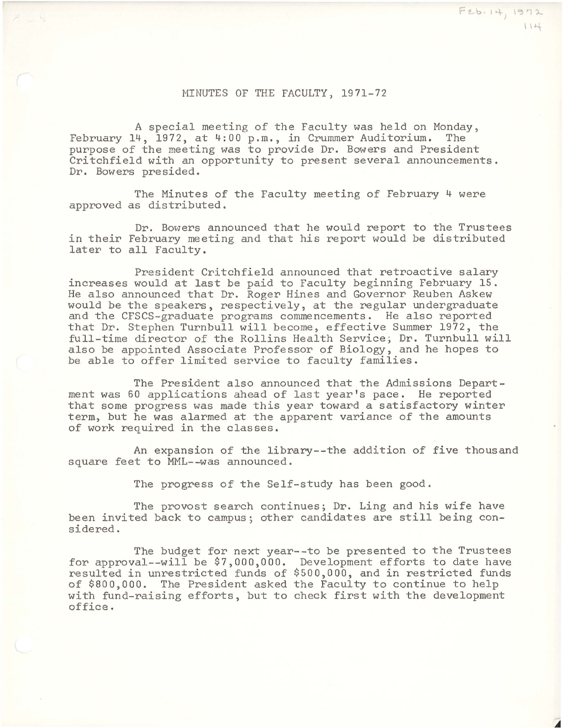#### MINUTES OF THE FACULTY, 1971-72

A special meeting of the Faculty was held on Monday,<br>4. 1972. at 4:00 p.m.. in Crummer Auditorium. The February  $14$ ,  $1972$ , at  $4:00$  p.m., in Crummer Auditorium. purpose of the meeting was to provide Dr. Bowers and President Critchfield with an opportunity to present several announcements. Dr. Bowers presided.

The Minutes of the Faculty meeting of February 4 were approved as distributed.

Dr. Bowers announced that he would report to the Trustees in their February meeting and that his report would be distributed later to all Faculty.

President Critchfield announced that retroactive salary increases would at last be paid to Faculty beginning February 15. He also announced that Dr. Roger Hines and Governor Reuben Askew would be the speakers, respectively, at the regular undergraduate and the CFSCS-graduate programs commencements. He also reported that Dr. Stephen Turnbull will become, effective Summer 1972, the full-time director of the Rollins Health Service; Dr. Turnbull will also be appointed Associate Professor of Biology, and he hopes to be able to offer limited service to faculty families.

The President also announced that the Admissions Department was 60 applications ahead of last year's pace. He reported that some progress was made this year toward a satisfactory winter term, but he was alarmed at the apparent variance of the amounts of work required in the classes.

An expansion of the library--the addition of five thousand square feet to MML--was announced.

The progress of the Self-study has been good.

The provost search continues; Dr. Ling and his wife have been invited back to campus; other candidates are still being considered.

The budget for next year--to be presented to the Trustees for approval--will be \$7,000,000. Development efforts to date have resulted in unrestricted funds of \$500,000, and in restricted funds of \$800,000. The President asked the Faculty to continue to help with fund-raising efforts, but to check first with the development office.